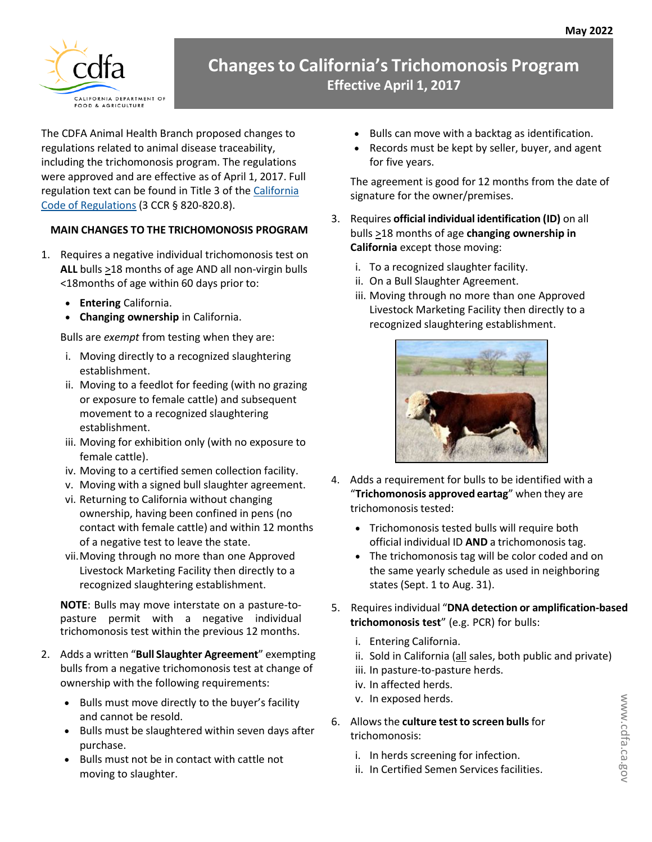

## **Changesto California's Trichomonosis Program Effective April 1, 2017**

The CDFA Animal Health Branch proposed changes to regulations related to animal disease traceability, including the trichomonosis program. The regulations were approved and are effective as of April 1, 2017. Full regulation text can be found in Title 3 of the [California](http://ccr.oal.ca.gov/) Code [of Regulations](http://ccr.oal.ca.gov/) (3 CCR § 820-820.8).

## **MAIN CHANGES TO THE TRICHOMONOSIS PROGRAM**

- 1. Requires a negative individual trichomonosis test on **ALL** bulls >18 months of age AND all non-virgin bulls <18months of age within 60 days prior to:
	- **Entering** California.
	- **Changing ownership** in California.

Bulls are *exempt* from testing when they are:

- i. Moving directly to a recognized slaughtering establishment.
- ii. Moving to a feedlot for feeding (with no grazing or exposure to female cattle) and subsequent movement to a recognized slaughtering establishment.
- iii. Moving for exhibition only (with no exposure to female cattle).
- iv. Moving to a certified semen collection facility.
- v. Moving with a signed bull slaughter agreement.
- vi. Returning to California without changing ownership, having been confined in pens (no contact with female cattle) and within 12 months of a negative test to leave the state.
- vii.Moving through no more than one Approved Livestock Marketing Facility then directly to a recognized slaughtering establishment.

**NOTE**: Bulls may move interstate on a pasture-topasture permit with a negative individual trichomonosis test within the previous 12 months.

- 2. Adds a written "**Bull Slaughter Agreement**" exempting bulls from a negative trichomonosis test at change of ownership with the following requirements:
	- Bulls must move directly to the buyer's facility and cannot be resold.
	- Bulls must be slaughtered within seven days after purchase.
	- Bulls must not be in contact with cattle not moving to slaughter.
- Bulls can move with a backtag as identification.
- Records must be kept by seller, buyer, and agent for five years.

The agreement is good for 12 months from the date of signature for the owner/premises.

- 3. Requires **official individual identification (ID)** on all bulls >18 months of age **changing ownership in California** except those moving:
	- i. To a recognized slaughter facility.
	- ii. On a Bull Slaughter Agreement.
	- iii. Moving through no more than one Approved Livestock Marketing Facility then directly to a recognized slaughtering establishment.



- 4. Adds a requirement for bulls to be identified with a "**Trichomonosis approved eartag**" when they are trichomonosis tested:
	- Trichomonosis tested bulls will require both official individual ID **AND** a trichomonosis tag.
	- The trichomonosis tag will be color coded and on the same yearly schedule as used in neighboring states (Sept. 1 to Aug. 31).
- 5. Requiresindividual "**DNA detection or amplification-based trichomonosis test**" (e.g. PCR) for bulls:
	- i. Entering California.
	- ii. Sold in California (all sales, both public and private)
	- iii. In pasture-to-pasture herds.
	- iv. In affected herds.
	- v. In exposed herds.
- 6. Allowsthe **culture test to screen bulls**for trichomonosis:
	- i. In herds screening for infection.
	- ii. In Certified Semen Services facilities.